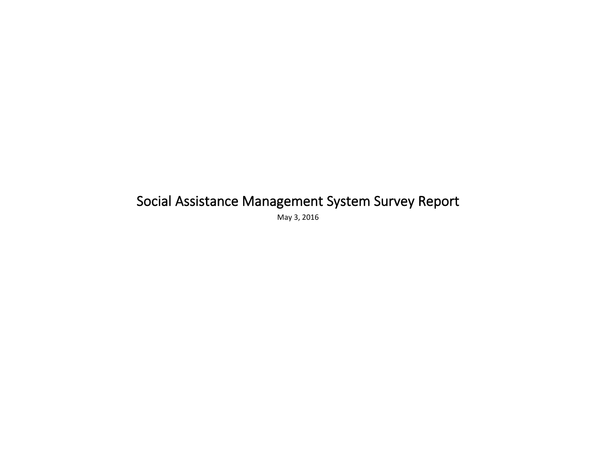## Social Assistance Management System Survey Report

May 3, 2016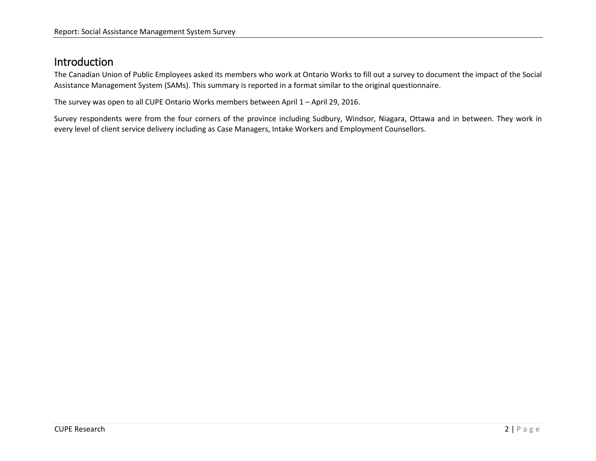## Introduction

The Canadian Union of Public Employees asked its members who work at Ontario Works to fill out a survey to document the impact of the Social Assistance Management System (SAMs). This summary is reported in a format similar to the original questionnaire.

The survey was open to all CUPE Ontario Works members between April  $1 -$  April 29, 2016.

Survey respondents were from the four corners of the province including Sudbury, Windsor, Niagara, Ottawa and in between. They work in every level of client service delivery including as Case Managers, Intake Workers and Employment Counsellors.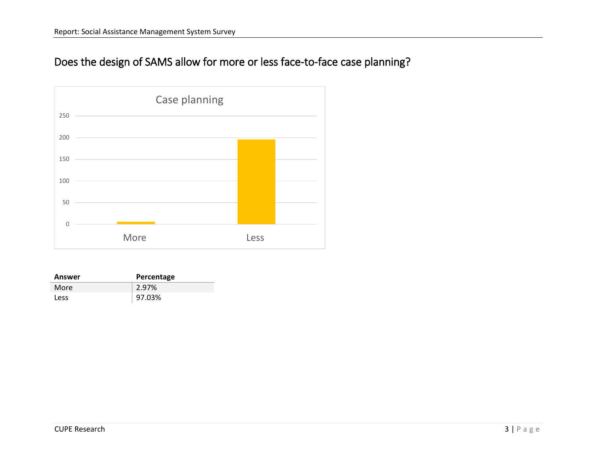## Does the design of SAMS allow for more or less face-to-face case planning?



| Answer      | Percentage |
|-------------|------------|
| More        | 2.97%      |
| <b>Less</b> | 97.03%     |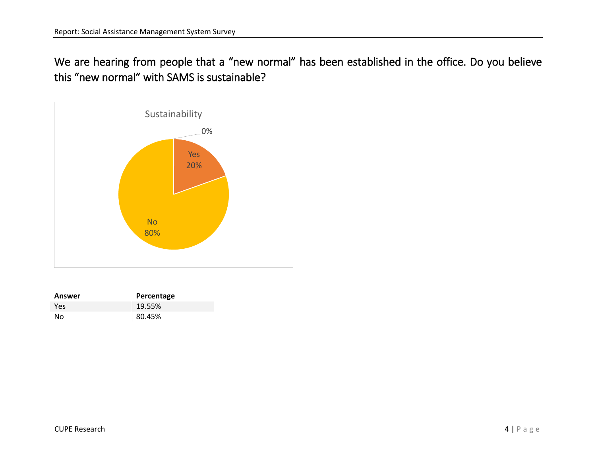We are hearing from people that a "new normal" has been established in the office. Do you believe this "new normal" with SAMS is sustainable?



| Answer | Percentage |
|--------|------------|
| Yes    | 19.55%     |
| No     | 80.45%     |